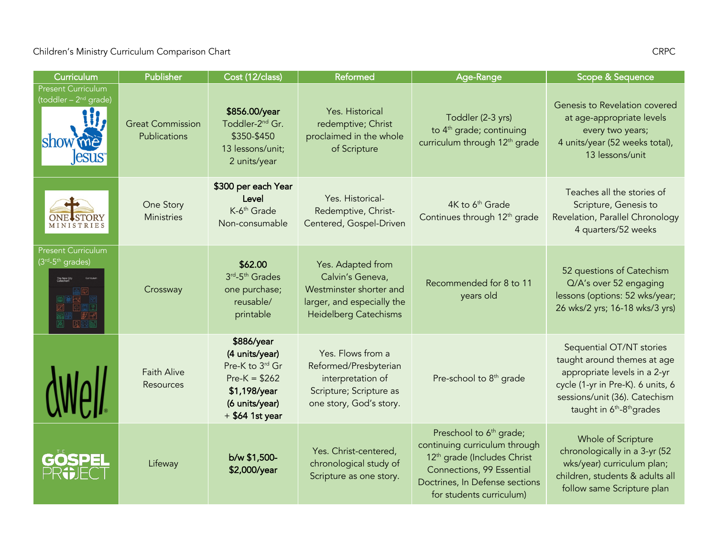## Children's Ministry Curriculum Comparison Chart CRPC CRPC CRPC

| Curriculum                                           | Publisher                               | Cost (12/class)                                                                                                          | Reformed                                                                                                                       | Age-Range                                                                                                                                                                                                  | Scope & Sequence                                                                                                                                                                                                   |
|------------------------------------------------------|-----------------------------------------|--------------------------------------------------------------------------------------------------------------------------|--------------------------------------------------------------------------------------------------------------------------------|------------------------------------------------------------------------------------------------------------------------------------------------------------------------------------------------------------|--------------------------------------------------------------------------------------------------------------------------------------------------------------------------------------------------------------------|
| <b>Present Curriculum</b><br>(toddler - $2nd$ grade) | <b>Great Commission</b><br>Publications | \$856.00/year<br>Toddler-2 <sup>nd</sup> Gr.<br>\$350-\$450<br>13 lessons/unit;<br>2 units/year                          | Yes. Historical<br>redemptive; Christ<br>proclaimed in the whole<br>of Scripture                                               | Toddler (2-3 yrs)<br>to 4 <sup>th</sup> grade; continuing<br>curriculum through 12 <sup>th</sup> grade                                                                                                     | Genesis to Revelation covered<br>at age-appropriate levels<br>every two years;<br>4 units/year (52 weeks total),<br>13 lessons/unit                                                                                |
|                                                      | One Story<br><b>Ministries</b>          | \$300 per each Year<br>Level<br>K-6 <sup>th</sup> Grade<br>Non-consumable                                                | Yes. Historical-<br>Redemptive, Christ-<br>Centered, Gospel-Driven                                                             | 4K to 6 <sup>th</sup> Grade<br>Continues through 12 <sup>th</sup> grade                                                                                                                                    | Teaches all the stories of<br>Scripture, Genesis to<br>Revelation, Parallel Chronology<br>4 quarters/52 weeks                                                                                                      |
| <b>Present Curriculum</b><br>(3rd-5th grades)        | Crossway                                | \$62.00<br>3rd <sub>-5th</sub> Grades<br>one purchase;<br>reusable/<br>printable                                         | Yes. Adapted from<br>Calvin's Geneva,<br>Westminster shorter and<br>larger, and especially the<br><b>Heidelberg Catechisms</b> | Recommended for 8 to 11<br>years old                                                                                                                                                                       | 52 questions of Catechism<br>Q/A's over 52 engaging<br>lessons (options: 52 wks/year;<br>26 wks/2 yrs; 16-18 wks/3 yrs)                                                                                            |
|                                                      | <b>Faith Alive</b><br>Resources         | \$886/year<br>(4 units/year)<br>Pre-K to 3rd Gr<br>$Pre-K = $262$<br>\$1,198/year<br>(6 units/year)<br>$+$ \$64 1st year | Yes. Flows from a<br>Reformed/Presbyterian<br>interpretation of<br>Scripture; Scripture as<br>one story, God's story.          | Pre-school to 8 <sup>th</sup> grade                                                                                                                                                                        | Sequential OT/NT stories<br>taught around themes at age<br>appropriate levels in a 2-yr<br>cycle (1-yr in Pre-K). 6 units, 6<br>sessions/unit (36). Catechism<br>taught in 6 <sup>th</sup> -8 <sup>th</sup> grades |
| GOSPEI                                               | Lifeway                                 | b/w \$1,500-<br>\$2,000/year                                                                                             | Yes. Christ-centered,<br>chronological study of<br>Scripture as one story.                                                     | Preschool to 6 <sup>th</sup> grade;<br>continuing curriculum through<br>12 <sup>th</sup> grade (Includes Christ<br>Connections, 99 Essential<br>Doctrines, In Defense sections<br>for students curriculum) | Whole of Scripture<br>chronologically in a 3-yr (52<br>wks/year) curriculum plan;<br>children, students & adults all<br>follow same Scripture plan                                                                 |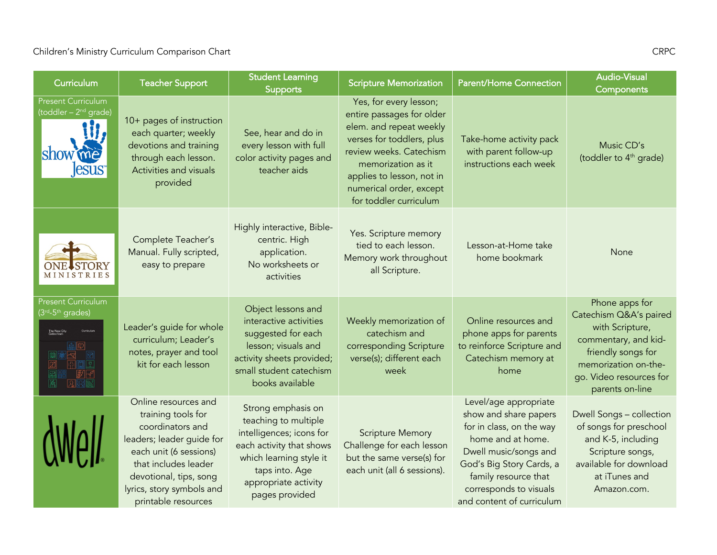## Children's Ministry Curriculum Comparison Chart CRPC CRPC CRPC

| Curriculum                                                                                                  | <b>Teacher Support</b>                                                                                                                                                                                                      | <b>Student Learning</b><br><b>Supports</b>                                                                                                                                                | <b>Scripture Memorization</b>                                                                                                                                                                                                                  | <b>Parent/Home Connection</b>                                                                                                                                                                                                       | <b>Audio-Visual</b><br><b>Components</b>                                                                                                                                        |
|-------------------------------------------------------------------------------------------------------------|-----------------------------------------------------------------------------------------------------------------------------------------------------------------------------------------------------------------------------|-------------------------------------------------------------------------------------------------------------------------------------------------------------------------------------------|------------------------------------------------------------------------------------------------------------------------------------------------------------------------------------------------------------------------------------------------|-------------------------------------------------------------------------------------------------------------------------------------------------------------------------------------------------------------------------------------|---------------------------------------------------------------------------------------------------------------------------------------------------------------------------------|
| <b>Present Curriculum</b><br>(toddler - 2 <sup>nd</sup> grade)<br>show                                      | 10+ pages of instruction<br>each quarter; weekly<br>devotions and training<br>through each lesson.<br>Activities and visuals<br>provided                                                                                    | See, hear and do in<br>every lesson with full<br>color activity pages and<br>teacher aids                                                                                                 | Yes, for every lesson;<br>entire passages for older<br>elem. and repeat weekly<br>verses for toddlers, plus<br>review weeks. Catechism<br>memorization as it<br>applies to lesson, not in<br>numerical order, except<br>for toddler curriculum | Take-home activity pack<br>with parent follow-up<br>instructions each week                                                                                                                                                          | Music CD's<br>(toddler to 4 <sup>th</sup> grade)                                                                                                                                |
| <b>MINISTRIES</b>                                                                                           | Complete Teacher's<br>Manual. Fully scripted,<br>easy to prepare                                                                                                                                                            | Highly interactive, Bible-<br>centric. High<br>application.<br>No worksheets or<br>activities                                                                                             | Yes. Scripture memory<br>tied to each lesson.<br>Memory work throughout<br>all Scripture.                                                                                                                                                      | Lesson-at-Home take<br>home bookmark                                                                                                                                                                                                | None                                                                                                                                                                            |
| <b>Present Curriculum</b><br>(3 <sup>rd</sup> -5 <sup>th</sup> grades)<br><b>The New City<br/>Catechism</b> | Leader's guide for whole<br>curriculum; Leader's<br>notes, prayer and tool<br>kit for each lesson                                                                                                                           | Object lessons and<br>interactive activities<br>suggested for each<br>lesson; visuals and<br>activity sheets provided;<br>small student catechism<br>books available                      | Weekly memorization of<br>catechism and<br>corresponding Scripture<br>verse(s); different each<br>week                                                                                                                                         | Online resources and<br>phone apps for parents<br>to reinforce Scripture and<br>Catechism memory at<br>home                                                                                                                         | Phone apps for<br>Catechism Q&A's paired<br>with Scripture,<br>commentary, and kid-<br>friendly songs for<br>memorization on-the-<br>go. Video resources for<br>parents on-line |
|                                                                                                             | Online resources and<br>training tools for<br>coordinators and<br>leaders; leader guide for<br>each unit (6 sessions)<br>that includes leader<br>devotional, tips, song<br>lyrics, story symbols and<br>printable resources | Strong emphasis on<br>teaching to multiple<br>intelligences; icons for<br>each activity that shows<br>which learning style it<br>taps into. Age<br>appropriate activity<br>pages provided | <b>Scripture Memory</b><br>Challenge for each lesson<br>but the same verse(s) for<br>each unit (all 6 sessions).                                                                                                                               | Level/age appropriate<br>show and share papers<br>for in class, on the way<br>home and at home.<br>Dwell music/songs and<br>God's Big Story Cards, a<br>family resource that<br>corresponds to visuals<br>and content of curriculum | Dwell Songs - collection<br>of songs for preschool<br>and K-5, including<br>Scripture songs,<br>available for download<br>at iTunes and<br>Amazon.com.                          |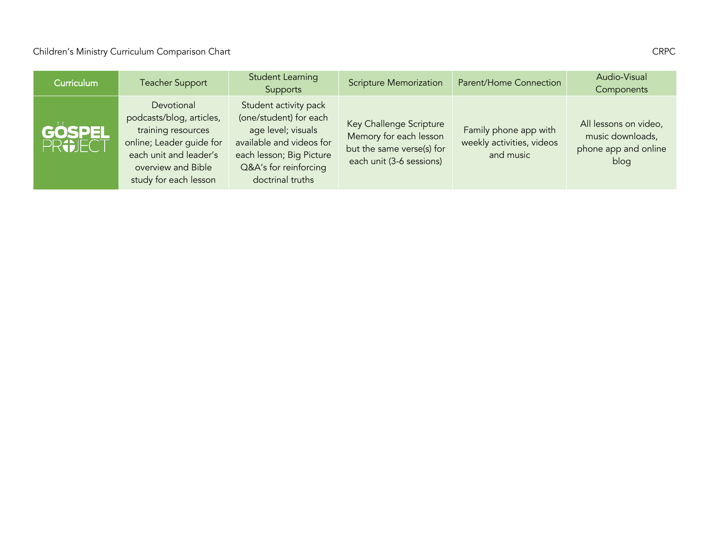## Children's Ministry Curriculum Comparison Chart CRPC CRPC CRPC

| <b>Curriculum</b>        | <b>Teacher Support</b>                                                                                                                                            | <b>Student Learning</b><br>Supports                                                                                                                                        | <b>Scripture Memorization</b>                                                                              | Parent/Home Connection                                          | Audio-Visual<br>Components                                                |
|--------------------------|-------------------------------------------------------------------------------------------------------------------------------------------------------------------|----------------------------------------------------------------------------------------------------------------------------------------------------------------------------|------------------------------------------------------------------------------------------------------------|-----------------------------------------------------------------|---------------------------------------------------------------------------|
| <b>GOSPEL</b><br>PROJECT | Devotional<br>podcasts/blog, articles,<br>training resources<br>online; Leader guide for<br>each unit and leader's<br>overview and Bible<br>study for each lesson | Student activity pack<br>(one/student) for each<br>age level; visuals<br>available and videos for<br>each lesson; Big Picture<br>Q&A's for reinforcing<br>doctrinal truths | Key Challenge Scripture<br>Memory for each lesson<br>but the same verse(s) for<br>each unit (3-6 sessions) | Family phone app with<br>weekly activities, videos<br>and music | All lessons on video,<br>music downloads,<br>phone app and online<br>blog |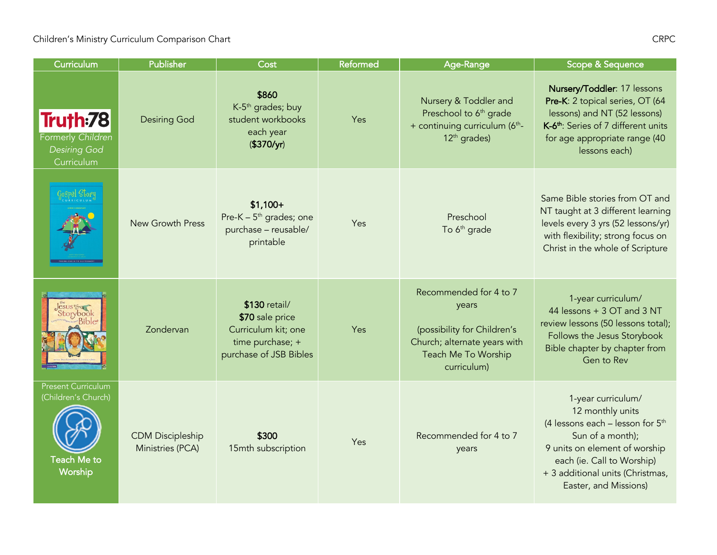| Curriculum                                                                 | Publisher                                   | Cost                                                                                                  | <b>Reformed</b> | Age-Range                                                                                                                            | Scope & Sequence                                                                                                                                                                                                               |
|----------------------------------------------------------------------------|---------------------------------------------|-------------------------------------------------------------------------------------------------------|-----------------|--------------------------------------------------------------------------------------------------------------------------------------|--------------------------------------------------------------------------------------------------------------------------------------------------------------------------------------------------------------------------------|
| Truth:78<br>Formerly Children<br><b>Desiring God</b><br>Curriculum         | <b>Desiring God</b>                         | \$860<br>K-5 <sup>th</sup> grades; buy<br>student workbooks<br>each year<br>(\$370/yr)                | Yes             | Nursery & Toddler and<br>Preschool to 6 <sup>th</sup> grade<br>+ continuing curriculum (6th-<br>12 <sup>th</sup> grades)             | Nursery/Toddler: 17 lessons<br>Pre-K: 2 topical series, OT (64<br>lessons) and NT (52 lessons)<br>K-6 <sup>th</sup> : Series of 7 different units<br>for age appropriate range (40<br>lessons each)                            |
|                                                                            | <b>New Growth Press</b>                     | $$1,100+$<br>Pre-K – $5th$ grades; one<br>purchase - reusable/<br>printable                           | Yes             | Preschool<br>To 6 <sup>th</sup> grade                                                                                                | Same Bible stories from OT and<br>NT taught at 3 different learning<br>levels every 3 yrs (52 lessons/yr)<br>with flexibility; strong focus on<br>Christ in the whole of Scripture                                             |
| corvbook                                                                   | Zondervan                                   | \$130 retail/<br>\$70 sale price<br>Curriculum kit; one<br>time purchase; +<br>purchase of JSB Bibles | Yes             | Recommended for 4 to 7<br>years<br>(possibility for Children's<br>Church; alternate years with<br>Teach Me To Worship<br>curriculum) | 1-year curriculum/<br>44 lessons + 3 OT and 3 NT<br>review lessons (50 lessons total);<br>Follows the Jesus Storybook<br>Bible chapter by chapter from<br>Gen to Rev                                                           |
| <b>Present Curriculum</b><br>(Children's Church)<br>Teach Me to<br>Worship | <b>CDM Discipleship</b><br>Ministries (PCA) | \$300<br>15mth subscription                                                                           | Yes             | Recommended for 4 to 7<br>years                                                                                                      | 1-year curriculum/<br>12 monthly units<br>(4 lessons each $-$ lesson for $5th$<br>Sun of a month);<br>9 units on element of worship<br>each (ie. Call to Worship)<br>+ 3 additional units (Christmas,<br>Easter, and Missions) |